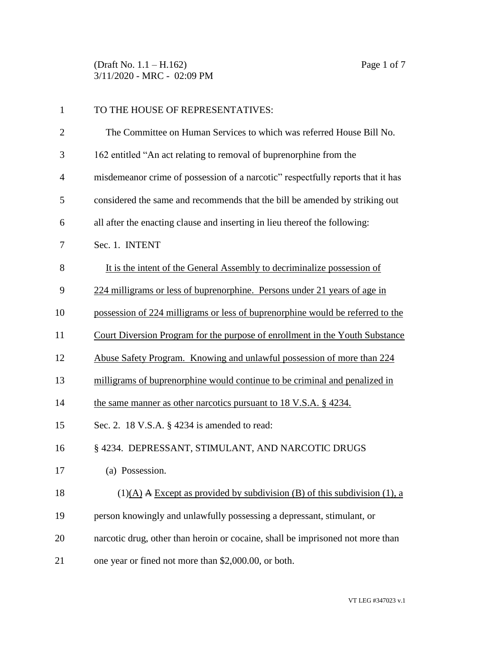(Draft No. 1.1 – H.162) Page 1 of 7 3/11/2020 - MRC - 02:09 PM

| $\mathbf{1}$   | TO THE HOUSE OF REPRESENTATIVES:                                                |
|----------------|---------------------------------------------------------------------------------|
| $\overline{2}$ | The Committee on Human Services to which was referred House Bill No.            |
| 3              | 162 entitled "An act relating to removal of buprenorphine from the              |
| 4              | misdemeanor crime of possession of a narcotic" respectfully reports that it has |
| 5              | considered the same and recommends that the bill be amended by striking out     |
| 6              | all after the enacting clause and inserting in lieu thereof the following:      |
| 7              | Sec. 1. INTENT                                                                  |
| 8              | It is the intent of the General Assembly to decriminalize possession of         |
| 9              | 224 milligrams or less of buprenorphine. Persons under 21 years of age in       |
| 10             | possession of 224 milligrams or less of buprenorphine would be referred to the  |
| 11             | Court Diversion Program for the purpose of enrollment in the Youth Substance    |
| 12             | Abuse Safety Program. Knowing and unlawful possession of more than 224          |
| 13             | milligrams of buprenorphine would continue to be criminal and penalized in      |
| 14             | the same manner as other narcotics pursuant to 18 V.S.A. § 4234.                |
| 15             | Sec. 2. 18 V.S.A. § 4234 is amended to read:                                    |
| 16             | § 4234. DEPRESSANT, STIMULANT, AND NARCOTIC DRUGS                               |
| 17             | (a) Possession.                                                                 |
| 18             | $(1)(A)$ A Except as provided by subdivision (B) of this subdivision (1), a     |
| 19             | person knowingly and unlawfully possessing a depressant, stimulant, or          |
| 20             | narcotic drug, other than heroin or cocaine, shall be imprisoned not more than  |
| 21             | one year or fined not more than \$2,000.00, or both.                            |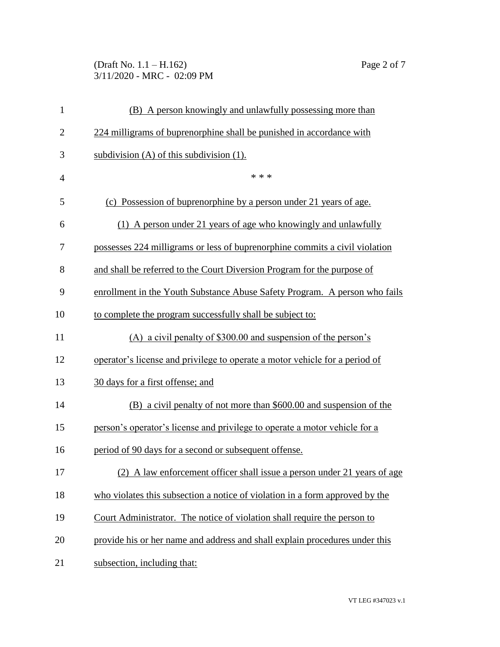(Draft No. 1.1 – H.162) Page 2 of 7 3/11/2020 - MRC - 02:09 PM

| $\mathbf{1}$   | (B) A person knowingly and unlawfully possessing more than                   |
|----------------|------------------------------------------------------------------------------|
| $\overline{2}$ | 224 milligrams of buprenorphine shall be punished in accordance with         |
| 3              | subdivision $(A)$ of this subdivision $(1)$ .                                |
| $\overline{4}$ | * * *                                                                        |
| 5              | (c) Possession of buprenorphine by a person under 21 years of age.           |
| 6              | (1) A person under 21 years of age who knowingly and unlawfully              |
| 7              | possesses 224 milligrams or less of buprenorphine commits a civil violation  |
| 8              | and shall be referred to the Court Diversion Program for the purpose of      |
| 9              | enrollment in the Youth Substance Abuse Safety Program. A person who fails   |
| 10             | to complete the program successfully shall be subject to:                    |
| 11             | (A) a civil penalty of $$300.00$ and suspension of the person's              |
| 12             | operator's license and privilege to operate a motor vehicle for a period of  |
| 13             | 30 days for a first offense; and                                             |
| 14             | (B) a civil penalty of not more than \$600.00 and suspension of the          |
| 15             | person's operator's license and privilege to operate a motor vehicle for a   |
| 16             | period of 90 days for a second or subsequent offense.                        |
| 17             | A law enforcement officer shall issue a person under 21 years of age         |
| 18             | who violates this subsection a notice of violation in a form approved by the |
| 19             | Court Administrator. The notice of violation shall require the person to     |
| 20             | provide his or her name and address and shall explain procedures under this  |
| 21             | subsection, including that:                                                  |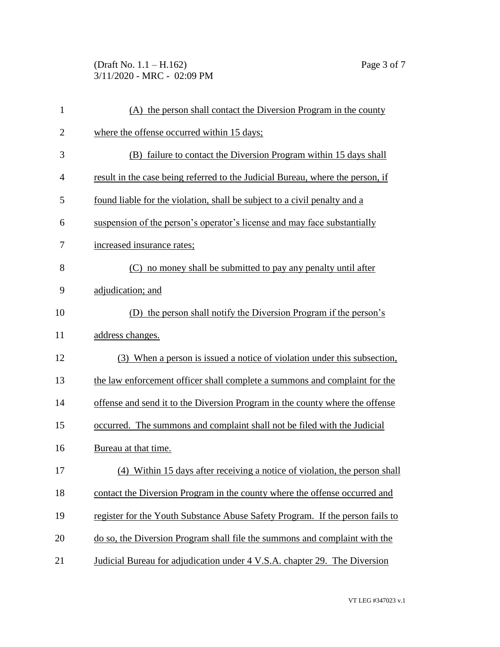(Draft No. 1.1 – H.162) Page 3 of 7 3/11/2020 - MRC - 02:09 PM

| $\mathbf{1}$   | (A) the person shall contact the Diversion Program in the county               |
|----------------|--------------------------------------------------------------------------------|
| $\overline{2}$ | where the offense occurred within 15 days;                                     |
| 3              | (B) failure to contact the Diversion Program within 15 days shall              |
| 4              | result in the case being referred to the Judicial Bureau, where the person, if |
| 5              | found liable for the violation, shall be subject to a civil penalty and a      |
| 6              | suspension of the person's operator's license and may face substantially       |
| 7              | increased insurance rates;                                                     |
| 8              | (C) no money shall be submitted to pay any penalty until after                 |
| 9              | adjudication; and                                                              |
| 10             | (D) the person shall notify the Diversion Program if the person's              |
| 11             | address changes.                                                               |
| 12             | (3) When a person is issued a notice of violation under this subsection,       |
| 13             | the law enforcement officer shall complete a summons and complaint for the     |
| 14             | offense and send it to the Diversion Program in the county where the offense   |
| 15             | occurred. The summons and complaint shall not be filed with the Judicial       |
| 16             | Bureau at that time.                                                           |
| 17             | (4) Within 15 days after receiving a notice of violation, the person shall     |
| 18             | contact the Diversion Program in the county where the offense occurred and     |
| 19             | register for the Youth Substance Abuse Safety Program. If the person fails to  |
| 20             | do so, the Diversion Program shall file the summons and complaint with the     |
| 21             | Judicial Bureau for adjudication under 4 V.S.A. chapter 29. The Diversion      |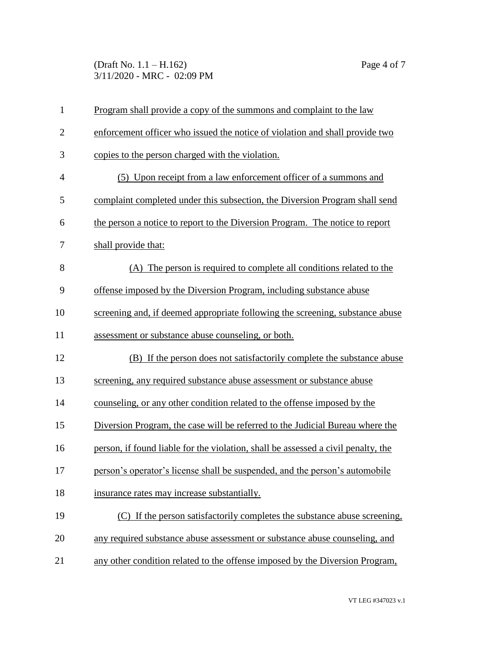(Draft No. 1.1 – H.162) Page 4 of 7 3/11/2020 - MRC - 02:09 PM

| $\mathbf{1}$   | Program shall provide a copy of the summons and complaint to the law              |
|----------------|-----------------------------------------------------------------------------------|
| $\overline{2}$ | enforcement officer who issued the notice of violation and shall provide two      |
| 3              | copies to the person charged with the violation.                                  |
| $\overline{4}$ | (5) Upon receipt from a law enforcement officer of a summons and                  |
| 5              | complaint completed under this subsection, the Diversion Program shall send       |
| 6              | the person a notice to report to the Diversion Program. The notice to report      |
| 7              | shall provide that:                                                               |
| 8              | (A) The person is required to complete all conditions related to the              |
| 9              | offense imposed by the Diversion Program, including substance abuse               |
| 10             | screening and, if deemed appropriate following the screening, substance abuse     |
| 11             | assessment or substance abuse counseling, or both.                                |
| 12             | (B) If the person does not satisfactorily complete the substance abuse            |
| 13             | screening, any required substance abuse assessment or substance abuse             |
| 14             | counseling, or any other condition related to the offense imposed by the          |
| 15             | Diversion Program, the case will be referred to the Judicial Bureau where the     |
| 16             | person, if found liable for the violation, shall be assessed a civil penalty, the |
| 17             | person's operator's license shall be suspended, and the person's automobile       |
| 18             | insurance rates may increase substantially.                                       |
| 19             | (C) If the person satisfactorily completes the substance abuse screening,         |
| 20             | any required substance abuse assessment or substance abuse counseling, and        |
| 21             | any other condition related to the offense imposed by the Diversion Program,      |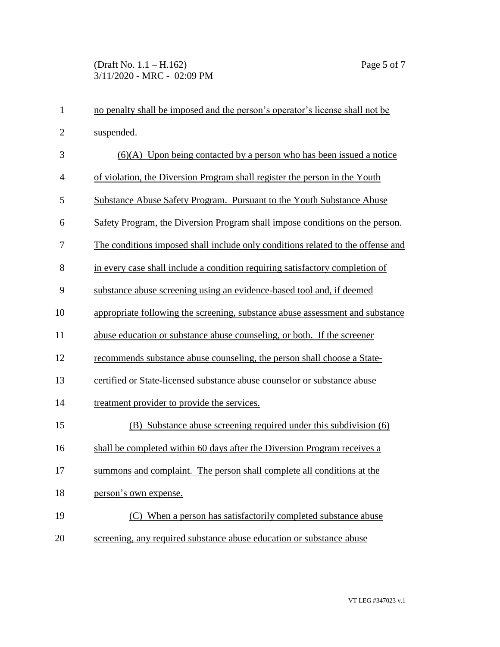| $\mathbf{1}$   | no penalty shall be imposed and the person's operator's license shall not be    |
|----------------|---------------------------------------------------------------------------------|
| $\overline{2}$ | suspended.                                                                      |
| 3              | $(6)(A)$ Upon being contacted by a person who has been issued a notice          |
| 4              | of violation, the Diversion Program shall register the person in the Youth      |
| 5              | Substance Abuse Safety Program. Pursuant to the Youth Substance Abuse           |
| 6              | Safety Program, the Diversion Program shall impose conditions on the person.    |
| 7              | The conditions imposed shall include only conditions related to the offense and |
| 8              | in every case shall include a condition requiring satisfactory completion of    |
| 9              | substance abuse screening using an evidence-based tool and, if deemed           |
| 10             | appropriate following the screening, substance abuse assessment and substance   |
| 11             | abuse education or substance abuse counseling, or both. If the screener         |
| 12             | recommends substance abuse counseling, the person shall choose a State-         |
| 13             | certified or State-licensed substance abuse counselor or substance abuse        |
| 14             | treatment provider to provide the services.                                     |
| 15             | (B) Substance abuse screening required under this subdivision (6)               |
| 16             | shall be completed within 60 days after the Diversion Program receives a        |
| 17             | summons and complaint. The person shall complete all conditions at the          |
| 18             | person's own expense.                                                           |
| 19             | (C) When a person has satisfactorily completed substance abuse                  |
| 20             | screening, any required substance abuse education or substance abuse            |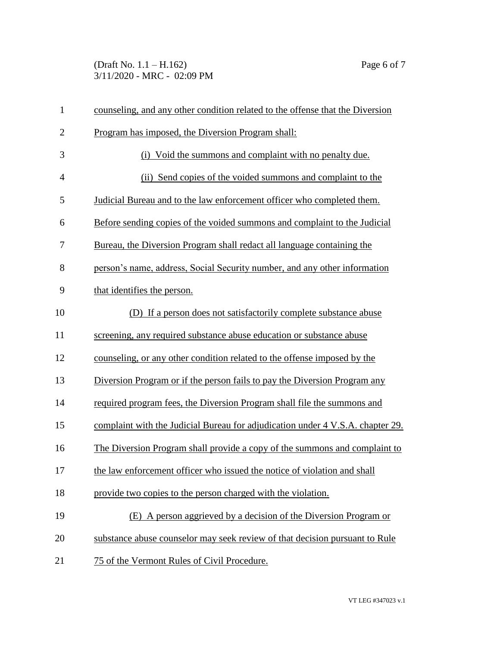(Draft No. 1.1 – H.162) Page 6 of 7 3/11/2020 - MRC - 02:09 PM

| $\mathbf{1}$   | counseling, and any other condition related to the offense that the Diversion  |
|----------------|--------------------------------------------------------------------------------|
| $\overline{2}$ | Program has imposed, the Diversion Program shall:                              |
| 3              | (i) Void the summons and complaint with no penalty due.                        |
| $\overline{4}$ | (ii) Send copies of the voided summons and complaint to the                    |
| 5              | Judicial Bureau and to the law enforcement officer who completed them.         |
| 6              | Before sending copies of the voided summons and complaint to the Judicial      |
| 7              | Bureau, the Diversion Program shall redact all language containing the         |
| 8              | person's name, address, Social Security number, and any other information      |
| 9              | that identifies the person.                                                    |
| 10             | (D) If a person does not satisfactorily complete substance abuse               |
| 11             | screening, any required substance abuse education or substance abuse           |
| 12             | counseling, or any other condition related to the offense imposed by the       |
| 13             | Diversion Program or if the person fails to pay the Diversion Program any      |
| 14             | required program fees, the Diversion Program shall file the summons and        |
| 15             | complaint with the Judicial Bureau for adjudication under 4 V.S.A. chapter 29. |
| 16             | The Diversion Program shall provide a copy of the summons and complaint to     |
| 17             | the law enforcement officer who issued the notice of violation and shall       |
| 18             | provide two copies to the person charged with the violation.                   |
| 19             | (E) A person aggrieved by a decision of the Diversion Program or               |
| 20             | substance abuse counselor may seek review of that decision pursuant to Rule    |
| 21             | 75 of the Vermont Rules of Civil Procedure.                                    |